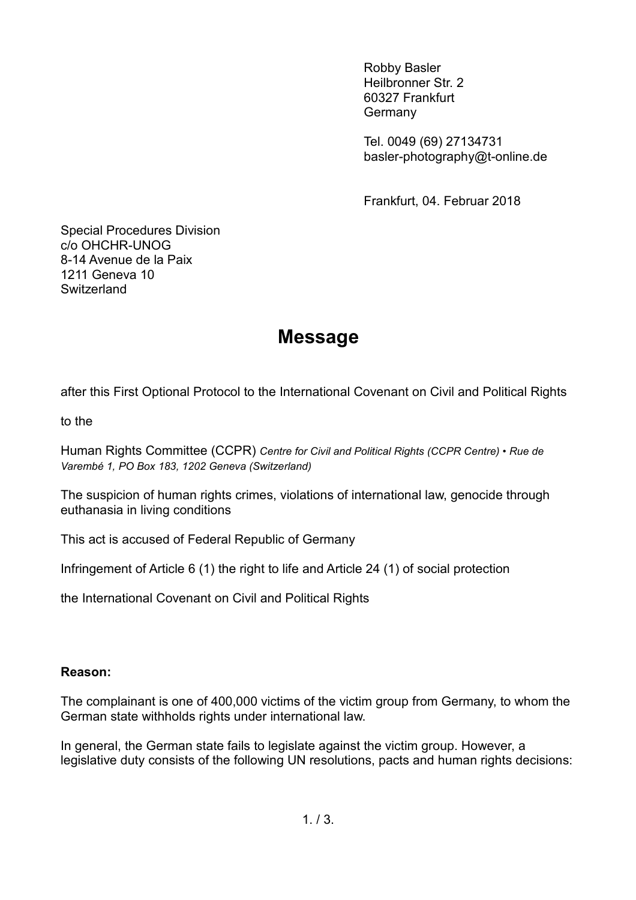Robby Basler Heilbronner Str. 2 60327 Frankfurt Germany

Tel. 0049 (69) 27134731 basler-photography@t-online.de

Frankfurt, 04. Februar 2018

Special Procedures Division c/o OHCHR-UNOG 8-14 Avenue de la Paix 1211 Geneva 10 **Switzerland** 

## **Message**

after this First Optional Protocol to the International Covenant on Civil and Political Rights

to the

Human Rights Committee (CCPR) *Centre for Civil and Political Rights (CCPR Centre) • Rue de Varembé 1, PO Box 183, 1202 Geneva (Switzerland)*

The suspicion of human rights crimes, violations of international law, genocide through euthanasia in living conditions

This act is accused of Federal Republic of Germany

Infringement of Article 6 (1) the right to life and Article 24 (1) of social protection

the International Covenant on Civil and Political Rights

## **Reason:**

The complainant is one of 400,000 victims of the victim group from Germany, to whom the German state withholds rights under international law.

In general, the German state fails to legislate against the victim group. However, a legislative duty consists of the following UN resolutions, pacts and human rights decisions: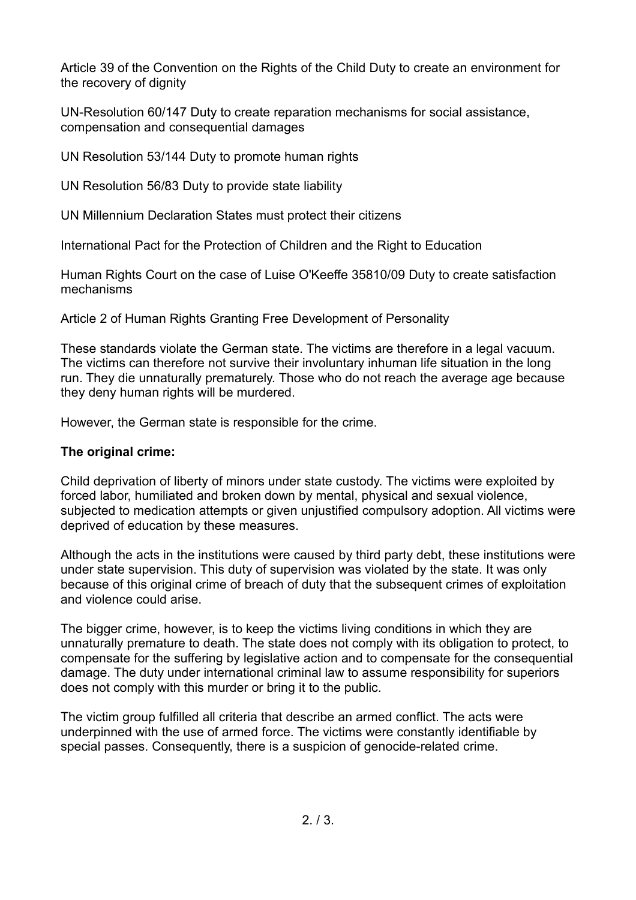Article 39 of the Convention on the Rights of the Child Duty to create an environment for the recovery of dignity

UN-Resolution 60/147 Duty to create reparation mechanisms for social assistance, compensation and consequential damages

UN Resolution 53/144 Duty to promote human rights

UN Resolution 56/83 Duty to provide state liability

UN Millennium Declaration States must protect their citizens

International Pact for the Protection of Children and the Right to Education

Human Rights Court on the case of Luise O'Keeffe 35810/09 Duty to create satisfaction mechanisms

Article 2 of Human Rights Granting Free Development of Personality

These standards violate the German state. The victims are therefore in a legal vacuum. The victims can therefore not survive their involuntary inhuman life situation in the long run. They die unnaturally prematurely. Those who do not reach the average age because they deny human rights will be murdered.

However, the German state is responsible for the crime.

## **The original crime:**

Child deprivation of liberty of minors under state custody. The victims were exploited by forced labor, humiliated and broken down by mental, physical and sexual violence, subjected to medication attempts or given unjustified compulsory adoption. All victims were deprived of education by these measures.

Although the acts in the institutions were caused by third party debt, these institutions were under state supervision. This duty of supervision was violated by the state. It was only because of this original crime of breach of duty that the subsequent crimes of exploitation and violence could arise.

The bigger crime, however, is to keep the victims living conditions in which they are unnaturally premature to death. The state does not comply with its obligation to protect, to compensate for the suffering by legislative action and to compensate for the consequential damage. The duty under international criminal law to assume responsibility for superiors does not comply with this murder or bring it to the public.

The victim group fulfilled all criteria that describe an armed conflict. The acts were underpinned with the use of armed force. The victims were constantly identifiable by special passes. Consequently, there is a suspicion of genocide-related crime.